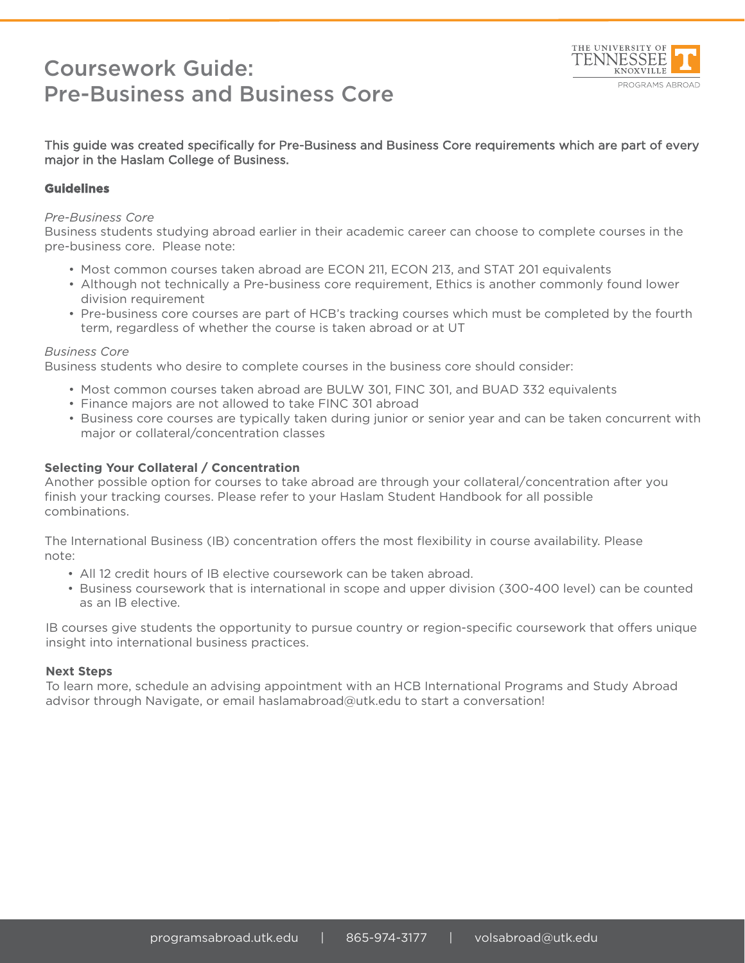## Coursework Guide: Pre-Business and Business Core



#### This guide was created specifically for Pre-Business and Business Core requirements which are part of every major in the Haslam College of Business.

#### **Guidelines**

#### *Pre-Business Core*

Business students studying abroad earlier in their academic career can choose to complete courses in the pre-business core. Please note:

- Most common courses taken abroad are ECON 211, ECON 213, and STAT 201 equivalents
- Although not technically a Pre-business core requirement, Ethics is another commonly found lower division requirement
- Pre-business core courses are part of HCB's tracking courses which must be completed by the fourth term, regardless of whether the course is taken abroad or at UT

#### *Business Core*

Business students who desire to complete courses in the business core should consider:

- Most common courses taken abroad are BULW 301, FINC 301, and BUAD 332 equivalents
- Finance majors are not allowed to take FINC 301 abroad
- Business core courses are typically taken during junior or senior year and can be taken concurrent with major or collateral/concentration classes

#### **Selecting Your Collateral / Concentration**

Another possible option for courses to take abroad are through your collateral/concentration after you finish your tracking courses. Please refer to your Haslam Student Handbook for all possible combinations.

The International Business (IB) concentration offers the most flexibility in course availability. Please note:

- All 12 credit hours of IB elective coursework can be taken abroad.
- Business coursework that is international in scope and upper division (300-400 level) can be counted as an IB elective.

IB courses give students the opportunity to pursue country or region-specific coursework that offers unique insight into international business practices.

#### **Next Steps**

To learn more, schedule an advising appointment with an HCB International Programs and Study Abroad advisor through Navigate, or email haslamabroad@utk.edu to start a conversation!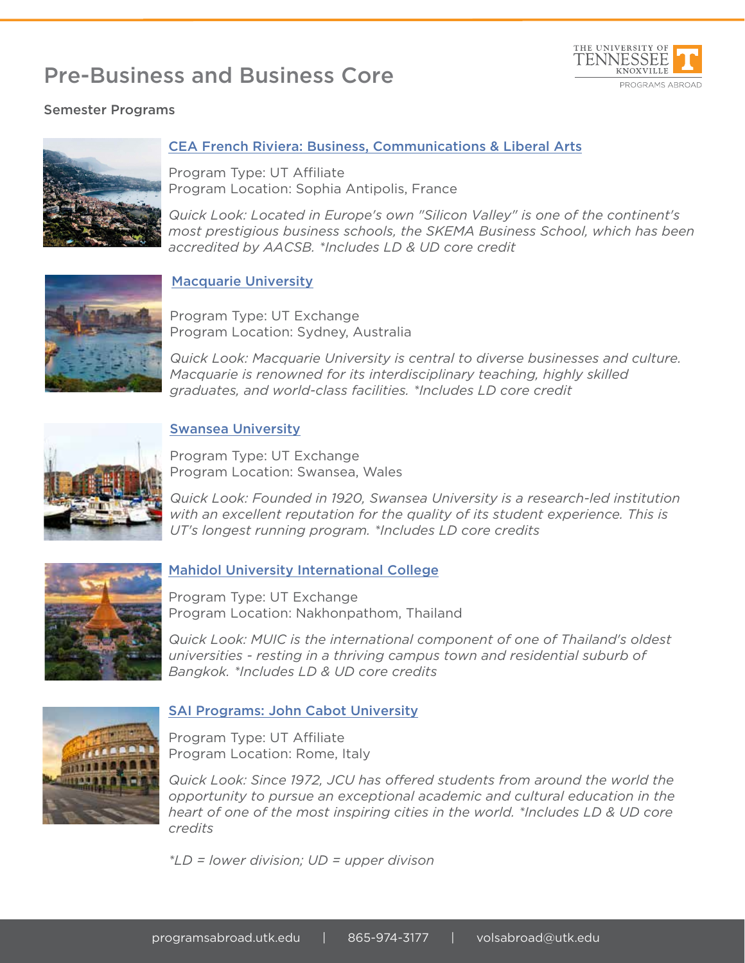# Pre-Business and Business Core



## Semester Programs



## CEA French Riviera: Business, Communications & Liberal Arts

Program Type: UT Affiliate Program Location: Sophia Antipolis, France

*Quick Look: Located in Europe's own "Silicon Valley" is one of the continent's most prestigious business schools, the SKEMA Business School, which has been accredited by AACSB. \*Includes LD & UD core credit*



#### Macquarie University

Program Type: UT Exchange Program Location: Sydney, Australia

*Quick Look: Macquarie University is central to diverse businesses and culture. Macquarie is renowned for its interdisciplinary teaching, highly skilled graduates, and world-class facilities. \*Includes LD core credit*



#### Swansea University

Program Type: UT Exchange Program Location: Swansea, Wales

*Quick Look: Founded in 1920, Swansea University is a research-led institution*  with an excellent reputation for the quality of its student experience. This is *UT's longest running program. \*Includes LD core credits*



## Mahidol University International College

Program Type: UT Exchange Program Location: Nakhonpathom, Thailand

*Quick Look: MUIC is the international component of one of Thailand's oldest universities - resting in a thriving campus town and residential suburb of Bangkok. \*Includes LD & UD core credits*



#### SAI Programs: John Cabot University

Program Type: UT Affiliate Program Location: Rome, Italy

*Quick Look: Since 1972, JCU has offered students from around the world the opportunity to pursue an exceptional academic and cultural education in the heart of one of the most inspiring cities in the world. \*Includes LD & UD core credits*

*\*LD = lower division; UD = upper divison*